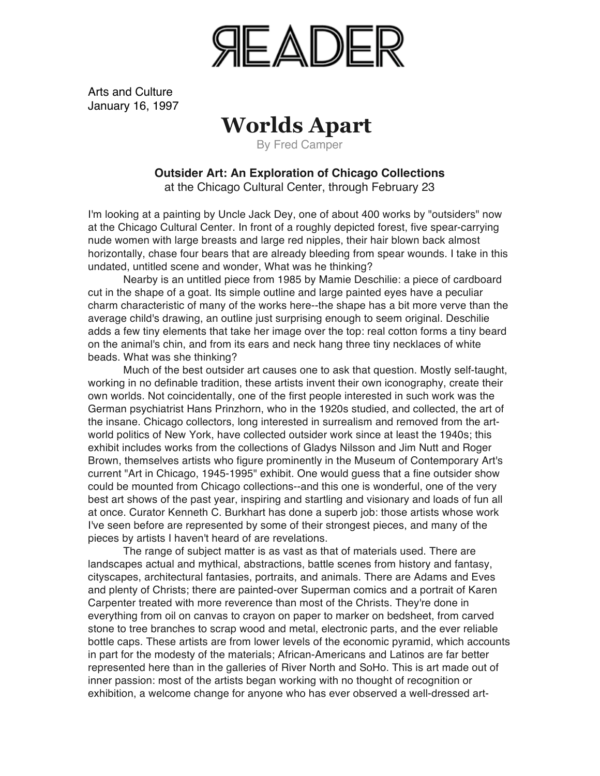

Arts and Culture January 16, 1997

## **Worlds Apart**

By Fred Camper

## **Outsider Art: An Exploration of Chicago Collections**

at the Chicago Cultural Center, through February 23

I'm looking at a painting by Uncle Jack Dey, one of about 400 works by "outsiders" now at the Chicago Cultural Center. In front of a roughly depicted forest, five spear-carrying nude women with large breasts and large red nipples, their hair blown back almost horizontally, chase four bears that are already bleeding from spear wounds. I take in this undated, untitled scene and wonder, What was he thinking?

Nearby is an untitled piece from 1985 by Mamie Deschilie: a piece of cardboard cut in the shape of a goat. Its simple outline and large painted eyes have a peculiar charm characteristic of many of the works here--the shape has a bit more verve than the average child's drawing, an outline just surprising enough to seem original. Deschilie adds a few tiny elements that take her image over the top: real cotton forms a tiny beard on the animal's chin, and from its ears and neck hang three tiny necklaces of white beads. What was she thinking?

Much of the best outsider art causes one to ask that question. Mostly self-taught, working in no definable tradition, these artists invent their own iconography, create their own worlds. Not coincidentally, one of the first people interested in such work was the German psychiatrist Hans Prinzhorn, who in the 1920s studied, and collected, the art of the insane. Chicago collectors, long interested in surrealism and removed from the artworld politics of New York, have collected outsider work since at least the 1940s; this exhibit includes works from the collections of Gladys Nilsson and Jim Nutt and Roger Brown, themselves artists who figure prominently in the Museum of Contemporary Art's current "Art in Chicago, 1945-1995" exhibit. One would guess that a fine outsider show could be mounted from Chicago collections--and this one is wonderful, one of the very best art shows of the past year, inspiring and startling and visionary and loads of fun all at once. Curator Kenneth C. Burkhart has done a superb job: those artists whose work I've seen before are represented by some of their strongest pieces, and many of the pieces by artists I haven't heard of are revelations.

The range of subject matter is as vast as that of materials used. There are landscapes actual and mythical, abstractions, battle scenes from history and fantasy, cityscapes, architectural fantasies, portraits, and animals. There are Adams and Eves and plenty of Christs; there are painted-over Superman comics and a portrait of Karen Carpenter treated with more reverence than most of the Christs. They're done in everything from oil on canvas to crayon on paper to marker on bedsheet, from carved stone to tree branches to scrap wood and metal, electronic parts, and the ever reliable bottle caps. These artists are from lower levels of the economic pyramid, which accounts in part for the modesty of the materials; African-Americans and Latinos are far better represented here than in the galleries of River North and SoHo. This is art made out of inner passion: most of the artists began working with no thought of recognition or exhibition, a welcome change for anyone who has ever observed a well-dressed art-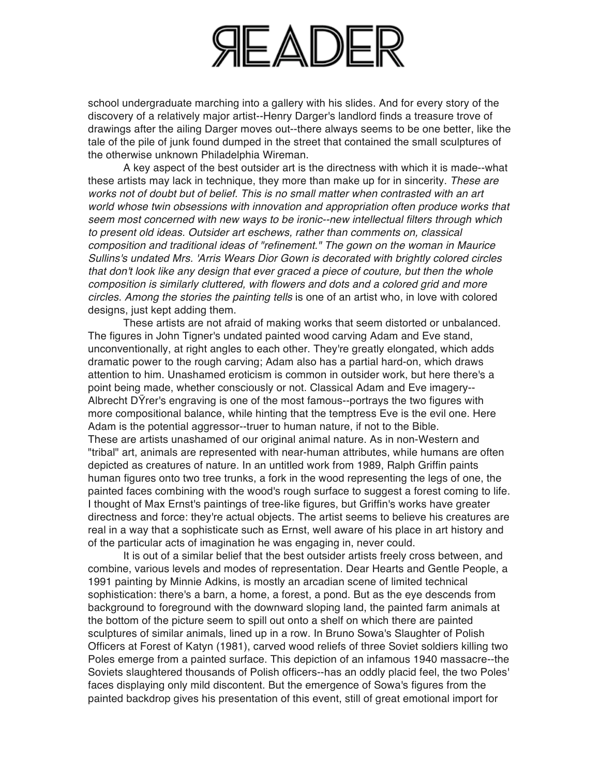

school undergraduate marching into a gallery with his slides. And for every story of the discovery of a relatively major artist--Henry Darger's landlord finds a treasure trove of drawings after the ailing Darger moves out--there always seems to be one better, like the tale of the pile of junk found dumped in the street that contained the small sculptures of the otherwise unknown Philadelphia Wireman.

A key aspect of the best outsider art is the directness with which it is made--what these artists may lack in technique, they more than make up for in sincerity. *These are works not of doubt but of belief. This is no small matter when contrasted with an art world whose twin obsessions with innovation and appropriation often produce works that seem most concerned with new ways to be ironic--new intellectual filters through which to present old ideas. Outsider art eschews, rather than comments on, classical composition and traditional ideas of "refinement." The gown on the woman in Maurice Sullins's undated Mrs. 'Arris Wears Dior Gown is decorated with brightly colored circles that don't look like any design that ever graced a piece of couture, but then the whole composition is similarly cluttered, with flowers and dots and a colored grid and more circles. Among the stories the painting tells* is one of an artist who, in love with colored designs, just kept adding them.

These artists are not afraid of making works that seem distorted or unbalanced. The figures in John Tigner's undated painted wood carving Adam and Eve stand, unconventionally, at right angles to each other. They're greatly elongated, which adds dramatic power to the rough carving; Adam also has a partial hard-on, which draws attention to him. Unashamed eroticism is common in outsider work, but here there's a point being made, whether consciously or not. Classical Adam and Eve imagery-- Albrecht DŸrer's engraving is one of the most famous--portrays the two figures with more compositional balance, while hinting that the temptress Eve is the evil one. Here Adam is the potential aggressor--truer to human nature, if not to the Bible. These are artists unashamed of our original animal nature. As in non-Western and "tribal" art, animals are represented with near-human attributes, while humans are often depicted as creatures of nature. In an untitled work from 1989, Ralph Griffin paints human figures onto two tree trunks, a fork in the wood representing the legs of one, the painted faces combining with the wood's rough surface to suggest a forest coming to life. I thought of Max Ernst's paintings of tree-like figures, but Griffin's works have greater directness and force: they're actual objects. The artist seems to believe his creatures are real in a way that a sophisticate such as Ernst, well aware of his place in art history and of the particular acts of imagination he was engaging in, never could.

It is out of a similar belief that the best outsider artists freely cross between, and combine, various levels and modes of representation. Dear Hearts and Gentle People, a 1991 painting by Minnie Adkins, is mostly an arcadian scene of limited technical sophistication: there's a barn, a home, a forest, a pond. But as the eye descends from background to foreground with the downward sloping land, the painted farm animals at the bottom of the picture seem to spill out onto a shelf on which there are painted sculptures of similar animals, lined up in a row. In Bruno Sowa's Slaughter of Polish Officers at Forest of Katyn (1981), carved wood reliefs of three Soviet soldiers killing two Poles emerge from a painted surface. This depiction of an infamous 1940 massacre--the Soviets slaughtered thousands of Polish officers--has an oddly placid feel, the two Poles' faces displaying only mild discontent. But the emergence of Sowa's figures from the painted backdrop gives his presentation of this event, still of great emotional import for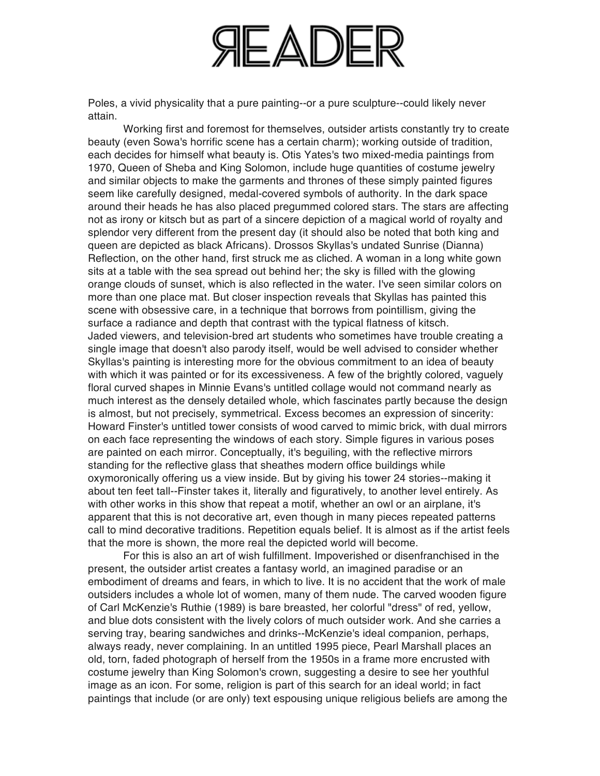

Poles, a vivid physicality that a pure painting--or a pure sculpture--could likely never attain.

Working first and foremost for themselves, outsider artists constantly try to create beauty (even Sowa's horrific scene has a certain charm); working outside of tradition, each decides for himself what beauty is. Otis Yates's two mixed-media paintings from 1970, Queen of Sheba and King Solomon, include huge quantities of costume jewelry and similar objects to make the garments and thrones of these simply painted figures seem like carefully designed, medal-covered symbols of authority. In the dark space around their heads he has also placed pregummed colored stars. The stars are affecting not as irony or kitsch but as part of a sincere depiction of a magical world of royalty and splendor very different from the present day (it should also be noted that both king and queen are depicted as black Africans). Drossos Skyllas's undated Sunrise (Dianna) Reflection, on the other hand, first struck me as cliched. A woman in a long white gown sits at a table with the sea spread out behind her; the sky is filled with the glowing orange clouds of sunset, which is also reflected in the water. I've seen similar colors on more than one place mat. But closer inspection reveals that Skyllas has painted this scene with obsessive care, in a technique that borrows from pointillism, giving the surface a radiance and depth that contrast with the typical flatness of kitsch. Jaded viewers, and television-bred art students who sometimes have trouble creating a single image that doesn't also parody itself, would be well advised to consider whether Skyllas's painting is interesting more for the obvious commitment to an idea of beauty with which it was painted or for its excessiveness. A few of the brightly colored, vaguely floral curved shapes in Minnie Evans's untitled collage would not command nearly as much interest as the densely detailed whole, which fascinates partly because the design is almost, but not precisely, symmetrical. Excess becomes an expression of sincerity: Howard Finster's untitled tower consists of wood carved to mimic brick, with dual mirrors on each face representing the windows of each story. Simple figures in various poses are painted on each mirror. Conceptually, it's beguiling, with the reflective mirrors standing for the reflective glass that sheathes modern office buildings while oxymoronically offering us a view inside. But by giving his tower 24 stories--making it about ten feet tall--Finster takes it, literally and figuratively, to another level entirely. As with other works in this show that repeat a motif, whether an owl or an airplane, it's apparent that this is not decorative art, even though in many pieces repeated patterns call to mind decorative traditions. Repetition equals belief. It is almost as if the artist feels that the more is shown, the more real the depicted world will become.

For this is also an art of wish fulfillment. Impoverished or disenfranchised in the present, the outsider artist creates a fantasy world, an imagined paradise or an embodiment of dreams and fears, in which to live. It is no accident that the work of male outsiders includes a whole lot of women, many of them nude. The carved wooden figure of Carl McKenzie's Ruthie (1989) is bare breasted, her colorful "dress" of red, yellow, and blue dots consistent with the lively colors of much outsider work. And she carries a serving tray, bearing sandwiches and drinks--McKenzie's ideal companion, perhaps, always ready, never complaining. In an untitled 1995 piece, Pearl Marshall places an old, torn, faded photograph of herself from the 1950s in a frame more encrusted with costume jewelry than King Solomon's crown, suggesting a desire to see her youthful image as an icon. For some, religion is part of this search for an ideal world; in fact paintings that include (or are only) text espousing unique religious beliefs are among the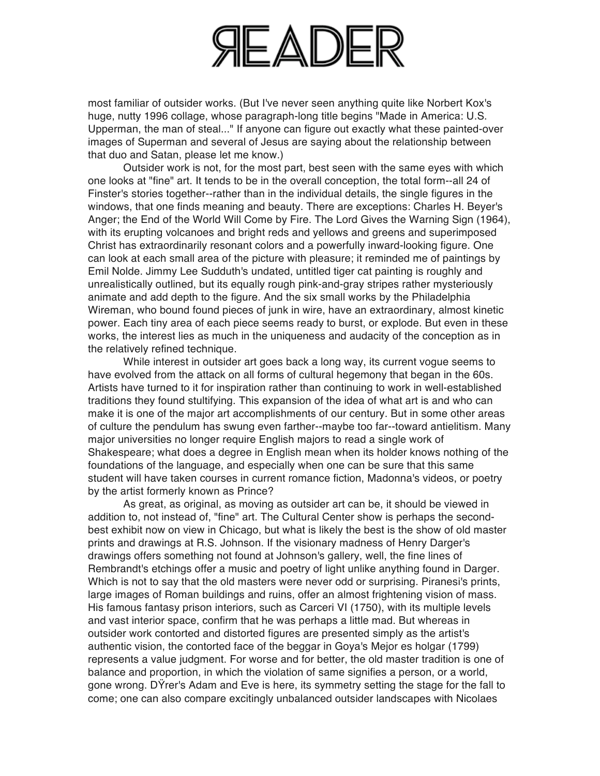

most familiar of outsider works. (But I've never seen anything quite like Norbert Kox's huge, nutty 1996 collage, whose paragraph-long title begins "Made in America: U.S. Upperman, the man of steal..." If anyone can figure out exactly what these painted-over images of Superman and several of Jesus are saying about the relationship between that duo and Satan, please let me know.)

Outsider work is not, for the most part, best seen with the same eyes with which one looks at "fine" art. It tends to be in the overall conception, the total form--all 24 of Finster's stories together--rather than in the individual details, the single figures in the windows, that one finds meaning and beauty. There are exceptions: Charles H. Beyer's Anger; the End of the World Will Come by Fire. The Lord Gives the Warning Sign (1964), with its erupting volcanoes and bright reds and yellows and greens and superimposed Christ has extraordinarily resonant colors and a powerfully inward-looking figure. One can look at each small area of the picture with pleasure; it reminded me of paintings by Emil Nolde. Jimmy Lee Sudduth's undated, untitled tiger cat painting is roughly and unrealistically outlined, but its equally rough pink-and-gray stripes rather mysteriously animate and add depth to the figure. And the six small works by the Philadelphia Wireman, who bound found pieces of junk in wire, have an extraordinary, almost kinetic power. Each tiny area of each piece seems ready to burst, or explode. But even in these works, the interest lies as much in the uniqueness and audacity of the conception as in the relatively refined technique.

While interest in outsider art goes back a long way, its current vogue seems to have evolved from the attack on all forms of cultural hegemony that began in the 60s. Artists have turned to it for inspiration rather than continuing to work in well-established traditions they found stultifying. This expansion of the idea of what art is and who can make it is one of the major art accomplishments of our century. But in some other areas of culture the pendulum has swung even farther--maybe too far--toward antielitism. Many major universities no longer require English majors to read a single work of Shakespeare; what does a degree in English mean when its holder knows nothing of the foundations of the language, and especially when one can be sure that this same student will have taken courses in current romance fiction, Madonna's videos, or poetry by the artist formerly known as Prince?

As great, as original, as moving as outsider art can be, it should be viewed in addition to, not instead of, "fine" art. The Cultural Center show is perhaps the secondbest exhibit now on view in Chicago, but what is likely the best is the show of old master prints and drawings at R.S. Johnson. If the visionary madness of Henry Darger's drawings offers something not found at Johnson's gallery, well, the fine lines of Rembrandt's etchings offer a music and poetry of light unlike anything found in Darger. Which is not to say that the old masters were never odd or surprising. Piranesi's prints, large images of Roman buildings and ruins, offer an almost frightening vision of mass. His famous fantasy prison interiors, such as Carceri VI (1750), with its multiple levels and vast interior space, confirm that he was perhaps a little mad. But whereas in outsider work contorted and distorted figures are presented simply as the artist's authentic vision, the contorted face of the beggar in Goya's Mejor es holgar (1799) represents a value judgment. For worse and for better, the old master tradition is one of balance and proportion, in which the violation of same signifies a person, or a world, gone wrong. DŸrer's Adam and Eve is here, its symmetry setting the stage for the fall to come; one can also compare excitingly unbalanced outsider landscapes with Nicolaes